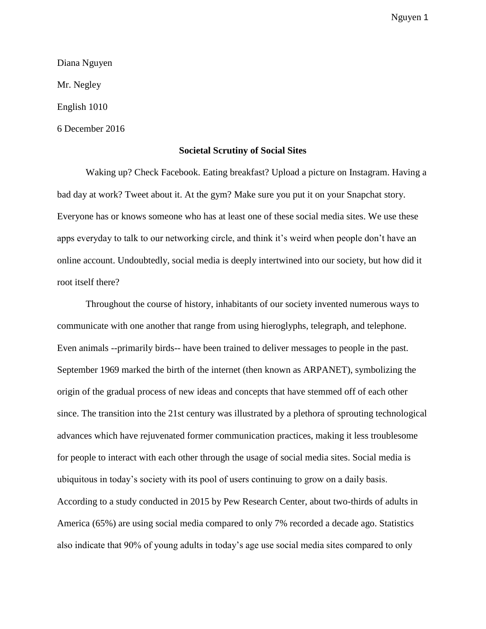Diana Nguyen Mr. Negley English 1010 6 December 2016

## **Societal Scrutiny of Social Sites**

Waking up? Check Facebook. Eating breakfast? Upload a picture on Instagram. Having a bad day at work? Tweet about it. At the gym? Make sure you put it on your Snapchat story. Everyone has or knows someone who has at least one of these social media sites. We use these apps everyday to talk to our networking circle, and think it's weird when people don't have an online account. Undoubtedly, social media is deeply intertwined into our society, but how did it root itself there?

Throughout the course of history, inhabitants of our society invented numerous ways to communicate with one another that range from using hieroglyphs, telegraph, and telephone. Even animals --primarily birds-- have been trained to deliver messages to people in the past. September 1969 marked the birth of the internet (then known as ARPANET), symbolizing the origin of the gradual process of new ideas and concepts that have stemmed off of each other since. The transition into the 21st century was illustrated by a plethora of sprouting technological advances which have rejuvenated former communication practices, making it less troublesome for people to interact with each other through the usage of social media sites. Social media is ubiquitous in today's society with its pool of users continuing to grow on a daily basis. According to a study conducted in 2015 by Pew Research Center, about two-thirds of adults in America (65%) are using social media compared to only 7% recorded a decade ago. Statistics also indicate that 90% of young adults in today's age use social media sites compared to only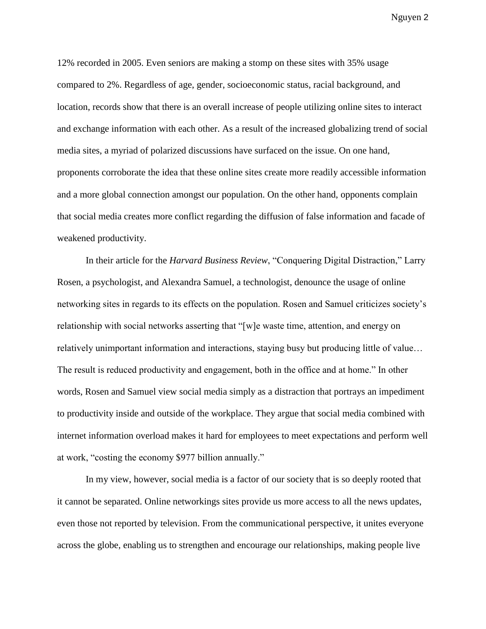12% recorded in 2005. Even seniors are making a stomp on these sites with 35% usage compared to 2%. Regardless of age, gender, socioeconomic status, racial background, and location, records show that there is an overall increase of people utilizing online sites to interact and exchange information with each other. As a result of the increased globalizing trend of social media sites, a myriad of polarized discussions have surfaced on the issue. On one hand, proponents corroborate the idea that these online sites create more readily accessible information and a more global connection amongst our population. On the other hand, opponents complain that social media creates more conflict regarding the diffusion of false information and facade of weakened productivity.

In their article for the *Harvard Business Review*, "Conquering Digital Distraction," Larry Rosen, a psychologist, and Alexandra Samuel, a technologist, denounce the usage of online networking sites in regards to its effects on the population. Rosen and Samuel criticizes society's relationship with social networks asserting that "[w]e waste time, attention, and energy on relatively unimportant information and interactions, staying busy but producing little of value… The result is reduced productivity and engagement, both in the office and at home." In other words, Rosen and Samuel view social media simply as a distraction that portrays an impediment to productivity inside and outside of the workplace. They argue that social media combined with internet information overload makes it hard for employees to meet expectations and perform well at work, "costing the economy \$977 billion annually."

In my view, however, social media is a factor of our society that is so deeply rooted that it cannot be separated. Online networkings sites provide us more access to all the news updates, even those not reported by television. From the communicational perspective, it unites everyone across the globe, enabling us to strengthen and encourage our relationships, making people live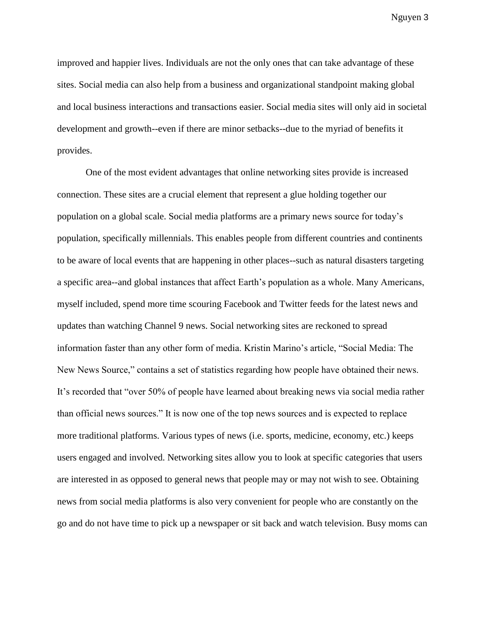improved and happier lives. Individuals are not the only ones that can take advantage of these sites. Social media can also help from a business and organizational standpoint making global and local business interactions and transactions easier. Social media sites will only aid in societal development and growth--even if there are minor setbacks--due to the myriad of benefits it provides.

One of the most evident advantages that online networking sites provide is increased connection. These sites are a crucial element that represent a glue holding together our population on a global scale. Social media platforms are a primary news source for today's population, specifically millennials. This enables people from different countries and continents to be aware of local events that are happening in other places--such as natural disasters targeting a specific area--and global instances that affect Earth's population as a whole. Many Americans, myself included, spend more time scouring Facebook and Twitter feeds for the latest news and updates than watching Channel 9 news. Social networking sites are reckoned to spread information faster than any other form of media. Kristin Marino's article, "Social Media: The New News Source," contains a set of statistics regarding how people have obtained their news. It's recorded that "over 50% of people have learned about breaking news via social media rather than official news sources." It is now one of the top news sources and is expected to replace more traditional platforms. Various types of news (i.e. sports, medicine, economy, etc.) keeps users engaged and involved. Networking sites allow you to look at specific categories that users are interested in as opposed to general news that people may or may not wish to see. Obtaining news from social media platforms is also very convenient for people who are constantly on the go and do not have time to pick up a newspaper or sit back and watch television. Busy moms can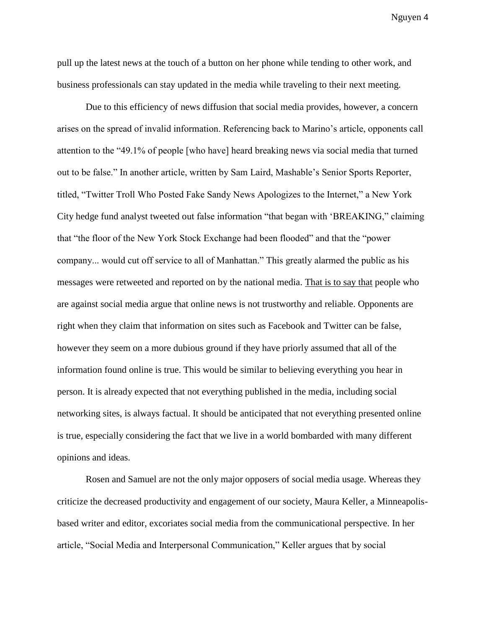pull up the latest news at the touch of a button on her phone while tending to other work, and business professionals can stay updated in the media while traveling to their next meeting.

Due to this efficiency of news diffusion that social media provides, however, a concern arises on the spread of invalid information. Referencing back to Marino's article, opponents call attention to the "49.1% of people [who have] heard breaking news via social media that turned out to be false." In another article, written by Sam Laird, Mashable's Senior Sports Reporter, titled, "Twitter Troll Who Posted Fake Sandy News Apologizes to the Internet," a New York City hedge fund analyst tweeted out false information "that began with 'BREAKING," claiming that "the floor of the New York Stock Exchange had been flooded" and that the "power company... would cut off service to all of Manhattan." This greatly alarmed the public as his messages were retweeted and reported on by the national media. That is to say that people who are against social media argue that online news is not trustworthy and reliable. Opponents are right when they claim that information on sites such as Facebook and Twitter can be false, however they seem on a more dubious ground if they have priorly assumed that all of the information found online is true. This would be similar to believing everything you hear in person. It is already expected that not everything published in the media, including social networking sites, is always factual. It should be anticipated that not everything presented online is true, especially considering the fact that we live in a world bombarded with many different opinions and ideas.

Rosen and Samuel are not the only major opposers of social media usage. Whereas they criticize the decreased productivity and engagement of our society, Maura Keller, a Minneapolisbased writer and editor, excoriates social media from the communicational perspective. In her article, "Social Media and Interpersonal Communication," Keller argues that by social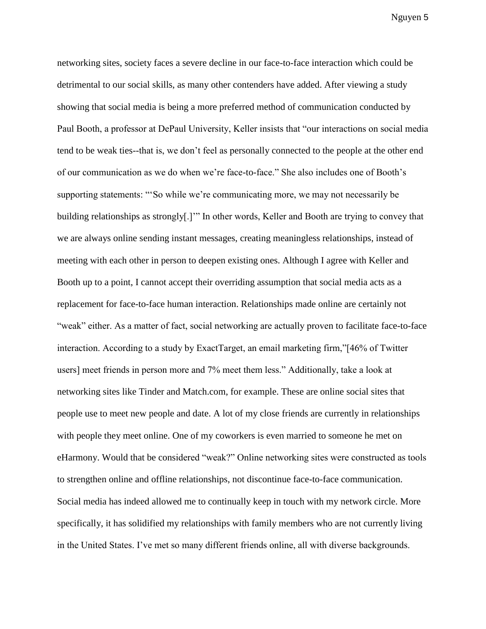networking sites, society faces a severe decline in our face-to-face interaction which could be detrimental to our social skills, as many other contenders have added. After viewing a study showing that social media is being a more preferred method of communication conducted by Paul Booth, a professor at DePaul University, Keller insists that "our interactions on social media tend to be weak ties--that is, we don't feel as personally connected to the people at the other end of our communication as we do when we're face-to-face." She also includes one of Booth's supporting statements: "'So while we're communicating more, we may not necessarily be building relationships as strongly[.]'" In other words, Keller and Booth are trying to convey that we are always online sending instant messages, creating meaningless relationships, instead of meeting with each other in person to deepen existing ones. Although I agree with Keller and Booth up to a point, I cannot accept their overriding assumption that social media acts as a replacement for face-to-face human interaction. Relationships made online are certainly not "weak" either. As a matter of fact, social networking are actually proven to facilitate face-to-face interaction. According to a study by ExactTarget, an email marketing firm,"[46% of Twitter users] meet friends in person more and 7% meet them less." Additionally, take a look at networking sites like Tinder and Match.com, for example. These are online social sites that people use to meet new people and date. A lot of my close friends are currently in relationships with people they meet online. One of my coworkers is even married to someone he met on eHarmony. Would that be considered "weak?" Online networking sites were constructed as tools to strengthen online and offline relationships, not discontinue face-to-face communication. Social media has indeed allowed me to continually keep in touch with my network circle. More specifically, it has solidified my relationships with family members who are not currently living in the United States. I've met so many different friends online, all with diverse backgrounds.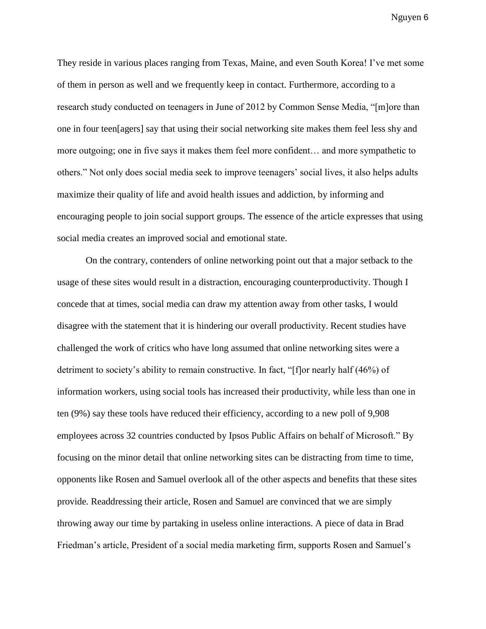They reside in various places ranging from Texas, Maine, and even South Korea! I've met some of them in person as well and we frequently keep in contact. Furthermore, according to a research study conducted on teenagers in June of 2012 by Common Sense Media, "[m]ore than one in four teen[agers] say that using their social networking site makes them feel less shy and more outgoing; one in five says it makes them feel more confident… and more sympathetic to others." Not only does social media seek to improve teenagers' social lives, it also helps adults maximize their quality of life and avoid health issues and addiction, by informing and encouraging people to join social support groups. The essence of the article expresses that using social media creates an improved social and emotional state.

On the contrary, contenders of online networking point out that a major setback to the usage of these sites would result in a distraction, encouraging counterproductivity. Though I concede that at times, social media can draw my attention away from other tasks, I would disagree with the statement that it is hindering our overall productivity. Recent studies have challenged the work of critics who have long assumed that online networking sites were a detriment to society's ability to remain constructive. In fact, "[f]or nearly half (46%) of information workers, using social tools has increased their productivity, while less than one in ten (9%) say these tools have reduced their efficiency, according to a new poll of 9,908 employees across 32 countries conducted by Ipsos Public Affairs on behalf of Microsoft." By focusing on the minor detail that online networking sites can be distracting from time to time, opponents like Rosen and Samuel overlook all of the other aspects and benefits that these sites provide. Readdressing their article, Rosen and Samuel are convinced that we are simply throwing away our time by partaking in useless online interactions. A piece of data in Brad Friedman's article, President of a social media marketing firm, supports Rosen and Samuel's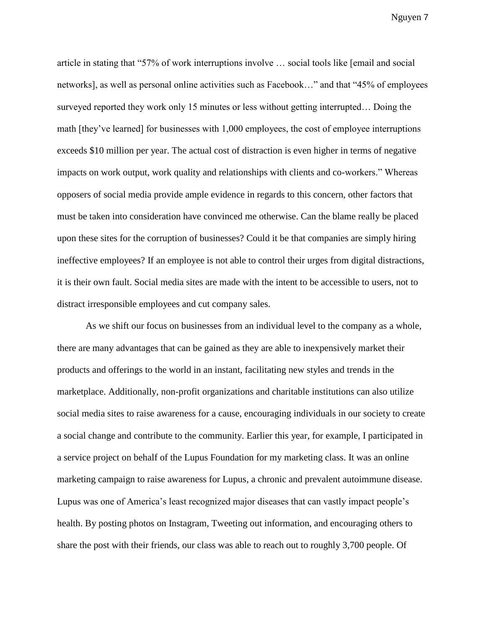article in stating that "57% of work interruptions involve … social tools like [email and social networks], as well as personal online activities such as Facebook…" and that "45% of employees surveyed reported they work only 15 minutes or less without getting interrupted… Doing the math [they've learned] for businesses with 1,000 employees, the cost of employee interruptions exceeds \$10 million per year. The actual cost of distraction is even higher in terms of negative impacts on work output, work quality and relationships with clients and co-workers." Whereas opposers of social media provide ample evidence in regards to this concern, other factors that must be taken into consideration have convinced me otherwise. Can the blame really be placed upon these sites for the corruption of businesses? Could it be that companies are simply hiring ineffective employees? If an employee is not able to control their urges from digital distractions, it is their own fault. Social media sites are made with the intent to be accessible to users, not to distract irresponsible employees and cut company sales.

As we shift our focus on businesses from an individual level to the company as a whole, there are many advantages that can be gained as they are able to inexpensively market their products and offerings to the world in an instant, facilitating new styles and trends in the marketplace. Additionally, non-profit organizations and charitable institutions can also utilize social media sites to raise awareness for a cause, encouraging individuals in our society to create a social change and contribute to the community. Earlier this year, for example, I participated in a service project on behalf of the Lupus Foundation for my marketing class. It was an online marketing campaign to raise awareness for Lupus, a chronic and prevalent autoimmune disease. Lupus was one of America's least recognized major diseases that can vastly impact people's health. By posting photos on Instagram, Tweeting out information, and encouraging others to share the post with their friends, our class was able to reach out to roughly 3,700 people. Of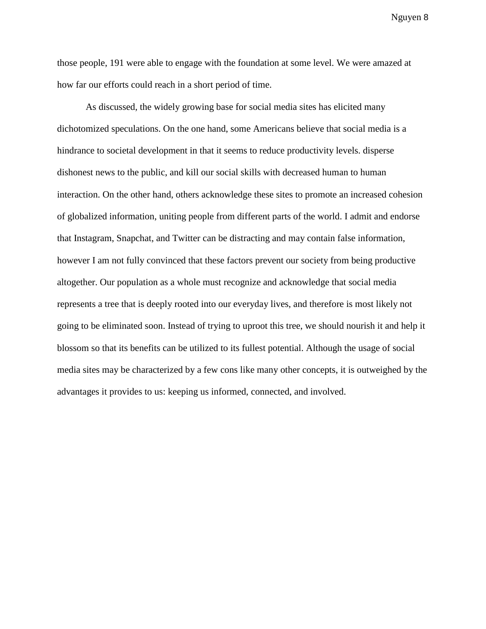those people, 191 were able to engage with the foundation at some level. We were amazed at how far our efforts could reach in a short period of time.

As discussed, the widely growing base for social media sites has elicited many dichotomized speculations. On the one hand, some Americans believe that social media is a hindrance to societal development in that it seems to reduce productivity levels. disperse dishonest news to the public, and kill our social skills with decreased human to human interaction. On the other hand, others acknowledge these sites to promote an increased cohesion of globalized information, uniting people from different parts of the world. I admit and endorse that Instagram, Snapchat, and Twitter can be distracting and may contain false information, however I am not fully convinced that these factors prevent our society from being productive altogether. Our population as a whole must recognize and acknowledge that social media represents a tree that is deeply rooted into our everyday lives, and therefore is most likely not going to be eliminated soon. Instead of trying to uproot this tree, we should nourish it and help it blossom so that its benefits can be utilized to its fullest potential. Although the usage of social media sites may be characterized by a few cons like many other concepts, it is outweighed by the advantages it provides to us: keeping us informed, connected, and involved.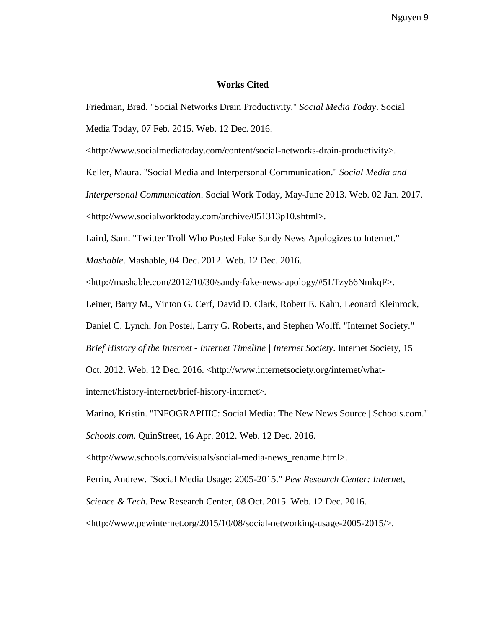## **Works Cited**

Friedman, Brad. "Social Networks Drain Productivity." *Social Media Today*. Social

Media Today, 07 Feb. 2015. Web. 12 Dec. 2016.

<http://www.socialmediatoday.com/content/social-networks-drain-productivity>.

Keller, Maura. "Social Media and Interpersonal Communication." *Social Media and* 

*Interpersonal Communication*. Social Work Today, May-June 2013. Web. 02 Jan. 2017.

<http://www.socialworktoday.com/archive/051313p10.shtml>.

Laird, Sam. "Twitter Troll Who Posted Fake Sandy News Apologizes to Internet."

*Mashable*. Mashable, 04 Dec. 2012. Web. 12 Dec. 2016.

<http://mashable.com/2012/10/30/sandy-fake-news-apology/#5LTzy66NmkqF>.

Leiner, Barry M., Vinton G. Cerf, David D. Clark, Robert E. Kahn, Leonard Kleinrock,

Daniel C. Lynch, Jon Postel, Larry G. Roberts, and Stephen Wolff. "Internet Society."

*Brief History of the Internet - Internet Timeline | Internet Society*. Internet Society, 15

Oct. 2012. Web. 12 Dec. 2016. <http://www.internetsociety.org/internet/what-

internet/history-internet/brief-history-internet>.

Marino, Kristin. "INFOGRAPHIC: Social Media: The New News Source | Schools.com."

*Schools.com*. QuinStreet, 16 Apr. 2012. Web. 12 Dec. 2016.

<http://www.schools.com/visuals/social-media-news\_rename.html>.

Perrin, Andrew. "Social Media Usage: 2005-2015." *Pew Research Center: Internet,* 

*Science & Tech*. Pew Research Center, 08 Oct. 2015. Web. 12 Dec. 2016.

<http://www.pewinternet.org/2015/10/08/social-networking-usage-2005-2015/>.